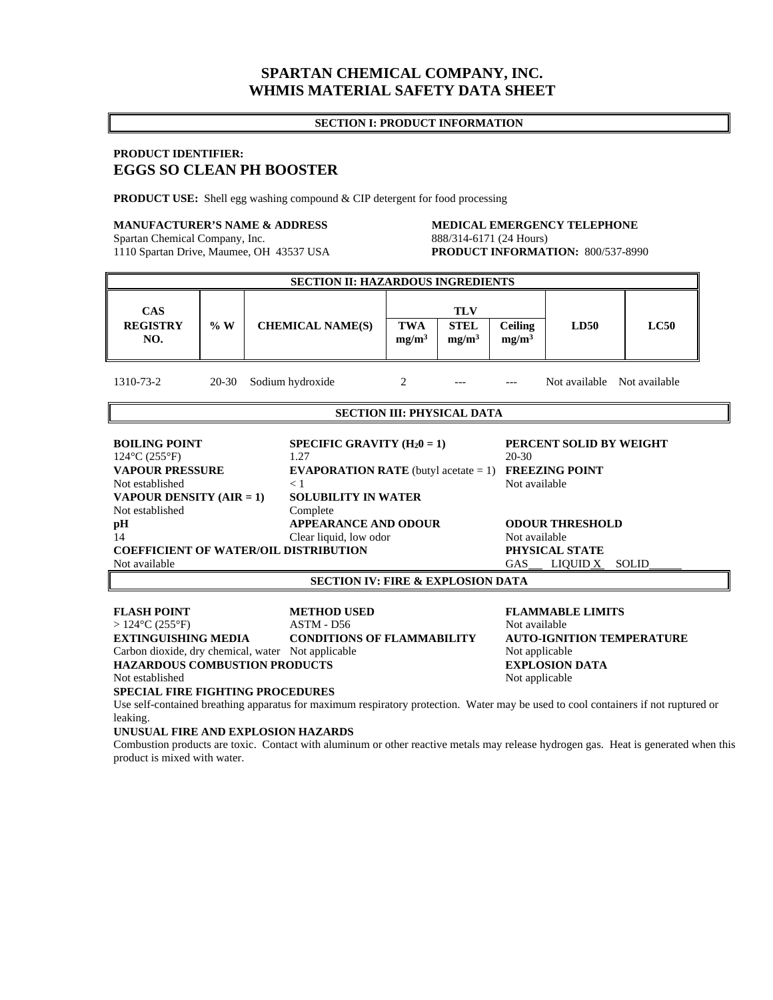# **SPARTAN CHEMICAL COMPANY, INC. WHMIS MATERIAL SAFETY DATA SHEET**

### **SECTION I: PRODUCT INFORMATION**

## **PRODUCT IDENTIFIER: EGGS SO CLEAN PH BOOSTER**

**PRODUCT USE:** Shell egg washing compound & CIP detergent for food processing

1110 Spartan Drive, Maumee, OH 43537 USA

# **MANUFACTURER'S NAME & ADDRESS MEDICAL EMERGENCY TELEPHONE**<br>
Spartan Chemical Company, Inc. 888/314-6171 (24 Hours) Spartan Chemical Company, Inc.<br>
1110 Spartan Drive, Maumee, OH 43537 USA<br> **PRODUCT INFORMATION:** 800/537-8990

| SECTION II: HAZARDOUS INGREDIENTS                                                                                                                                   |       |                             |                                                                                                                                              |                                  |                                     |                                                                                                        |               |  |
|---------------------------------------------------------------------------------------------------------------------------------------------------------------------|-------|-----------------------------|----------------------------------------------------------------------------------------------------------------------------------------------|----------------------------------|-------------------------------------|--------------------------------------------------------------------------------------------------------|---------------|--|
| <b>CAS</b>                                                                                                                                                          |       |                             | <b>TLV</b>                                                                                                                                   |                                  |                                     |                                                                                                        |               |  |
| <b>REGISTRY</b><br>NO.                                                                                                                                              | %W    | <b>CHEMICAL NAME(S)</b>     | <b>TWA</b><br>mg/m <sup>3</sup>                                                                                                              | <b>STEL</b><br>mg/m <sup>3</sup> | <b>Ceiling</b><br>mg/m <sup>3</sup> | <b>LD50</b>                                                                                            | LC50          |  |
| 1310-73-2                                                                                                                                                           | 20-30 | Sodium hydroxide            | 2                                                                                                                                            |                                  |                                     | Not available                                                                                          | Not available |  |
| <b>SECTION III: PHYSICAL DATA</b>                                                                                                                                   |       |                             |                                                                                                                                              |                                  |                                     |                                                                                                        |               |  |
| <b>BOILING POINT</b><br>$124^{\circ}$ C (255 $^{\circ}$ F)<br><b>VAPOUR PRESSURE</b><br>Not established<br><b>VAPOUR DENSITY (AIR = 1)</b><br>Not established<br>pH |       | 1.27<br>$\lt 1$<br>Complete | SPECIFIC GRAVITY $(H_20 = 1)$<br><b>EVAPORATION RATE</b> (butyl acetate $= 1$ )<br><b>SOLUBILITY IN WATER</b><br><b>APPEARANCE AND ODOUR</b> |                                  |                                     | PERCENT SOLID BY WEIGHT<br>$20-30$<br><b>FREEZING POINT</b><br>Not available<br><b>ODOUR THRESHOLD</b> |               |  |
| 14                                                                                                                                                                  |       |                             | Clear liquid, low odor                                                                                                                       |                                  |                                     | Not available                                                                                          |               |  |
| <b>COEFFICIENT OF WATER/OIL DISTRIBUTION</b>                                                                                                                        |       |                             |                                                                                                                                              |                                  |                                     | PHYSICAL STATE                                                                                         |               |  |
| Not available                                                                                                                                                       |       |                             | <b>GAS</b>                                                                                                                                   | LIQUID X<br><b>SOLID</b>         |                                     |                                                                                                        |               |  |

**SECTION IV: FIRE & EXPLOSION DATA** 

**FLASH POINT METHOD USED FLAMMABLE LIMITS**<br>>124°C (255°F) **ASTM - D56 Not available** > 124°C (255°F) <br> **EXTINGUISHING MEDIA** CONDITIONS OF FLAMMABILITY AUTO-IGNITION TEMPERATURE **EXTINGUISHING MEDIA CONDITIONS OF FLAMMABILITY** Carbon dioxide, dry chemical, water Not applicable Not applicable Not applicable **HAZARDOUS COMBUSTION PRODUCTS EXPLOSION DATA**  Not established Not applicable Not applicable **SPECIAL FIRE FIGHTING PROCEDURES**  Use self-contained breathing apparatus for maximum respiratory protection. Water may be used to cool containers if not ruptured or leaking.

#### **UNUSUAL FIRE AND EXPLOSION HAZARDS**

Combustion products are toxic. Contact with aluminum or other reactive metals may release hydrogen gas. Heat is generated when this product is mixed with water.